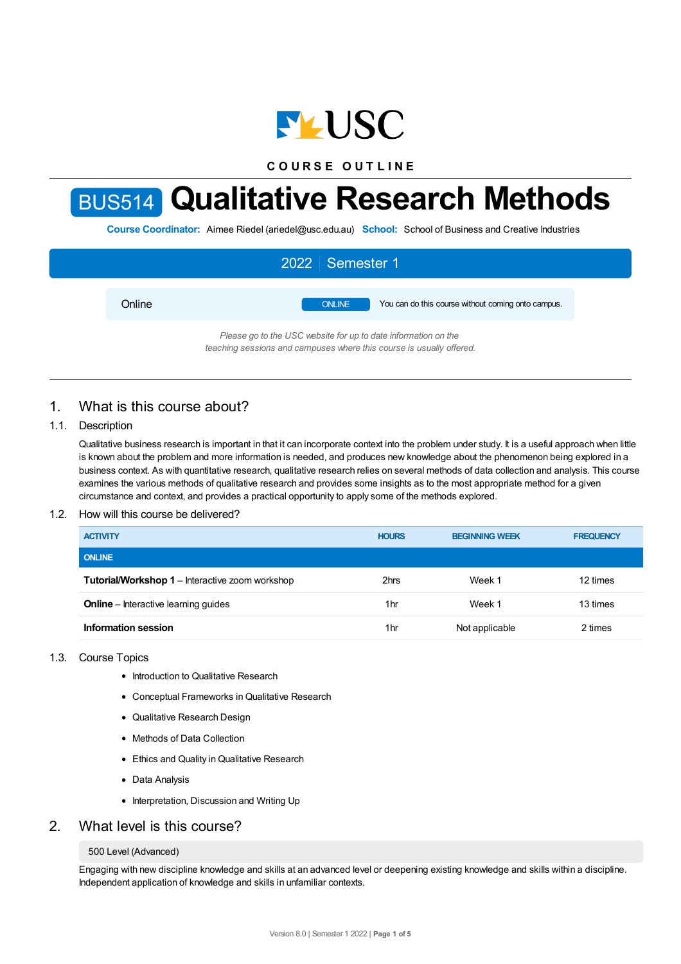

**C O U R S E O U T L I N E**

# BUS514 **Qualitative Research Methods**

**Course Coordinator:** Aimee Riedel (ariedel@usc.edu.au) **School:** School of Business and Creative Industries

|                                                                | 2022 Semester 1 |                                                    |  |  |
|----------------------------------------------------------------|-----------------|----------------------------------------------------|--|--|
| Online                                                         | <b>ONLINE</b>   | You can do this course without coming onto campus. |  |  |
| Please go to the USC website for up to date information on the |                 |                                                    |  |  |

*teaching sessions and campuses where this course is usually offered.*

# 1. What is this course about?

## 1.1. Description

Qualitative business research is important in that it can incorporate context into the problem under study. It is a useful approach when little is known about the problem and more information is needed, and produces new knowledge about the phenomenon being explored in a business context. As with quantitative research, qualitative research relies on several methods of data collection and analysis. This course examines the various methods of qualitative research and provides some insights as to the most appropriate method for a given circumstance and context, and provides a practical opportunity to apply some of the methods explored.

## 1.2. How will this course be delivered?

| <b>ACTIVITY</b>                                        | <b>HOURS</b> | <b>BEGINNING WEEK</b> | <b>FREQUENCY</b> |
|--------------------------------------------------------|--------------|-----------------------|------------------|
| <b>ONLINE</b>                                          |              |                       |                  |
| <b>Tutorial/Workshop 1</b> – Interactive zoom workshop | 2hrs         | Week 1                | 12 times         |
| <b>Online</b> – Interactive learning guides            | 1hr          | Week 1                | 13 times         |
| Information session                                    | 1hr          | Not applicable        | 2 times          |

## 1.3. Course Topics

- Introduction to Qualitative Research
- Conceptual Frameworks in Qualitative Research
- Qualitative Research Design
- Methods of Data Collection
- Ethics and Quality in Qualitative Research
- Data Analysis
- Interpretation, Discussion and Writing Up

# 2. What level is this course?

#### 500 Level (Advanced)

Engaging with new discipline knowledge and skills at an advanced level or deepening existing knowledge and skills within a discipline. Independent application of knowledge and skills in unfamiliar contexts.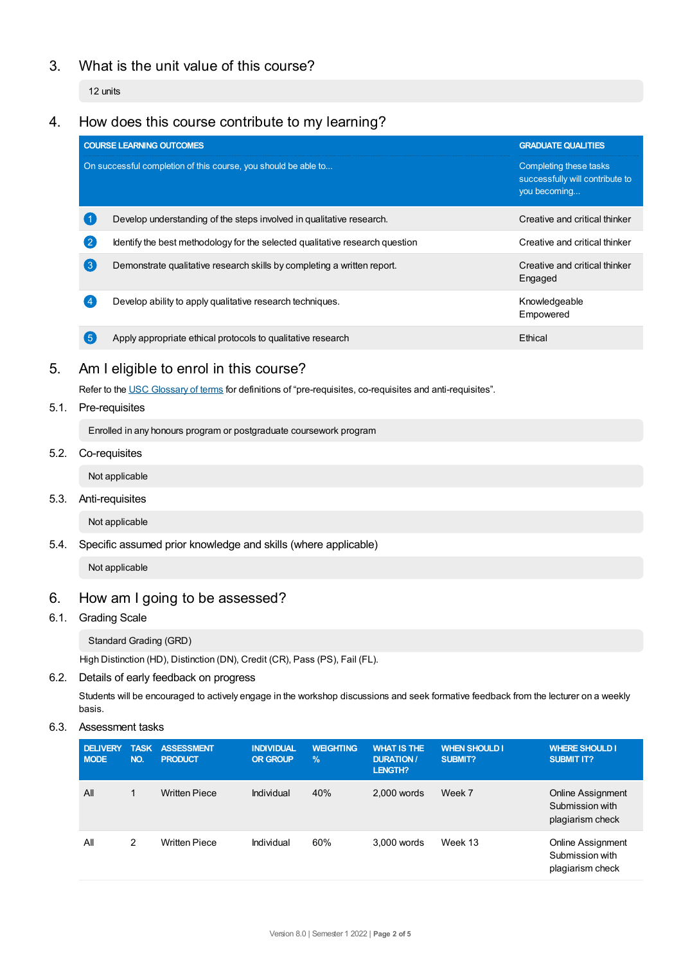# 3. What is the unit value of this course?

12 units

# 4. How does this course contribute to my learning?

|                                                                | <b>COURSE LEARNING OUTCOMES</b>                                              | <b>GRADUATE QUALITIES</b>                                                 |
|----------------------------------------------------------------|------------------------------------------------------------------------------|---------------------------------------------------------------------------|
| On successful completion of this course, you should be able to |                                                                              | Completing these tasks<br>successfully will contribute to<br>you becoming |
|                                                                | Develop understanding of the steps involved in qualitative research.         | Creative and critical thinker                                             |
| $\left( 2\right)$                                              | Identify the best methodology for the selected qualitative research question | Creative and critical thinker                                             |
| $\left(3\right)$                                               | Demonstrate qualitative research skills by completing a written report.      | Creative and critical thinker<br>Engaged                                  |
| $\overline{4}$                                                 | Develop ability to apply qualitative research techniques.                    | Knowledgeable<br>Empowered                                                |
| (5)                                                            | Apply appropriate ethical protocols to qualitative research                  | Ethical                                                                   |

# 5. Am Ieligible to enrol in this course?

Refer to the USC [Glossary](https://www.usc.edu.au/about/policies-and-procedures/glossary-of-terms-for-policy-and-procedures) of terms for definitions of "pre-requisites, co-requisites and anti-requisites".

5.1. Pre-requisites

Enrolled in any honours program or postgraduate coursework program

5.2. Co-requisites

Not applicable

5.3. Anti-requisites

Not applicable

5.4. Specific assumed prior knowledge and skills (where applicable)

Not applicable

# 6. How am Igoing to be assessed?

6.1. Grading Scale

Standard Grading (GRD)

High Distinction (HD), Distinction (DN), Credit (CR), Pass (PS), Fail (FL).

## 6.2. Details of early feedback on progress

Students will be encouraged to actively engage in the workshop discussions and seek formative feedback from the lecturer on a weekly basis.

6.3. Assessment tasks

| <b>DELIVERY</b><br><b>MODE</b> | <b>TASK</b><br>NO. | <b>ASSESSMENT</b><br><b>PRODUCT</b> | <b>INDIVIDUAL</b><br><b>OR GROUP</b> | <b>WEIGHTING</b><br>$\frac{9}{6}$ | <b>WHAT IS THE</b><br><b>DURATION /</b><br>LENGTH? | <b>WHEN SHOULD I</b><br>SUBMIT? | <b>WHERE SHOULD I</b><br><b>SUBMIT IT?</b>                      |
|--------------------------------|--------------------|-------------------------------------|--------------------------------------|-----------------------------------|----------------------------------------------------|---------------------------------|-----------------------------------------------------------------|
| All                            |                    | <b>Written Piece</b>                | Individual                           | 40%                               | $2.000$ words                                      | Week 7                          | <b>Online Assignment</b><br>Submission with<br>plagiarism check |
| All                            | 2                  | <b>Written Piece</b>                | Individual                           | 60%                               | 3.000 words                                        | Week 13                         | <b>Online Assignment</b><br>Submission with<br>plagiarism check |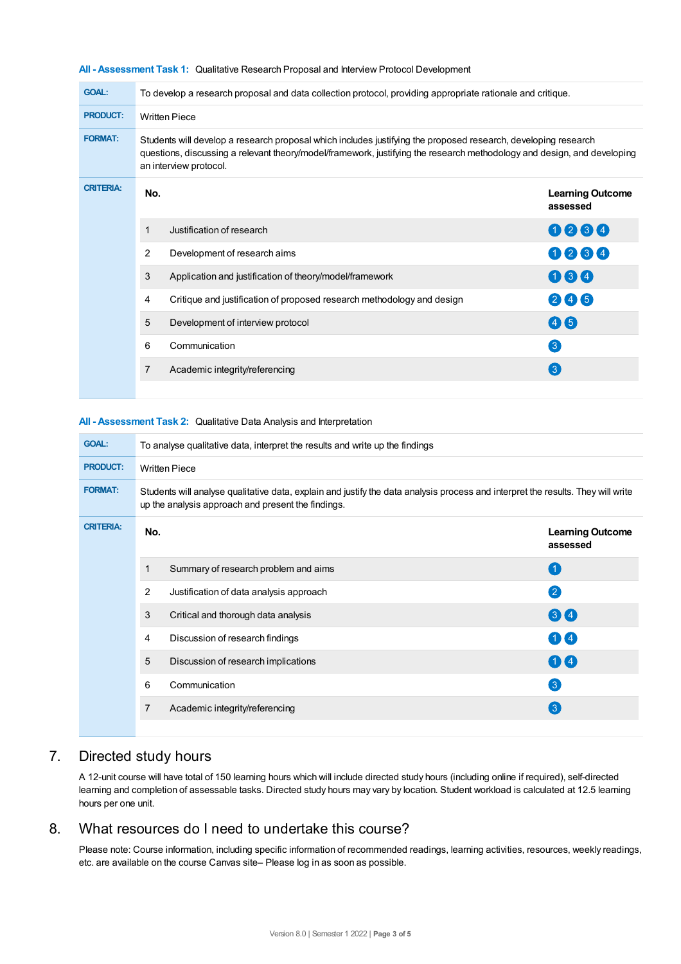| <b>GOAL:</b>     | To develop a research proposal and data collection protocol, providing appropriate rationale and critique.                                                                                                                                                          |                                                                        |                                     |  |  |
|------------------|---------------------------------------------------------------------------------------------------------------------------------------------------------------------------------------------------------------------------------------------------------------------|------------------------------------------------------------------------|-------------------------------------|--|--|
| <b>PRODUCT:</b>  | <b>Written Piece</b>                                                                                                                                                                                                                                                |                                                                        |                                     |  |  |
| <b>FORMAT:</b>   | Students will develop a research proposal which includes justifying the proposed research, developing research<br>questions, discussing a relevant theory/model/framework, justifying the research methodology and design, and developing<br>an interview protocol. |                                                                        |                                     |  |  |
| <b>CRITERIA:</b> | No.                                                                                                                                                                                                                                                                 |                                                                        | <b>Learning Outcome</b><br>assessed |  |  |
|                  | 1                                                                                                                                                                                                                                                                   | Justification of research                                              | 0000                                |  |  |
|                  | 2                                                                                                                                                                                                                                                                   | Development of research aims                                           | 0064                                |  |  |
|                  | 3                                                                                                                                                                                                                                                                   | Application and justification of theory/model/framework                | 064                                 |  |  |
|                  | 4                                                                                                                                                                                                                                                                   | Critique and justification of proposed research methodology and design | 245                                 |  |  |
|                  | 5                                                                                                                                                                                                                                                                   | Development of interview protocol                                      | 46                                  |  |  |
|                  | 6                                                                                                                                                                                                                                                                   | Communication                                                          | $\left[3\right]$                    |  |  |
|                  | 7                                                                                                                                                                                                                                                                   | Academic integrity/referencing                                         | $\left(3\right)$                    |  |  |
|                  |                                                                                                                                                                                                                                                                     |                                                                        |                                     |  |  |

#### **All - Assessment Task 1:** Qualitative Research Proposal and Interview Protocol Development

#### **All - Assessment Task 2:** Qualitative Data Analysis and Interpretation

| <b>GOAL:</b>     | To analyse qualitative data, interpret the results and write up the findings                                                                                                           |                   |  |  |  |
|------------------|----------------------------------------------------------------------------------------------------------------------------------------------------------------------------------------|-------------------|--|--|--|
| <b>PRODUCT:</b>  | <b>Written Piece</b>                                                                                                                                                                   |                   |  |  |  |
| <b>FORMAT:</b>   | Students will analyse qualitative data, explain and justify the data analysis process and interpret the results. They will write<br>up the analysis approach and present the findings. |                   |  |  |  |
| <b>CRITERIA:</b> | No.                                                                                                                                                                                    |                   |  |  |  |
|                  | Summary of research problem and aims<br>1                                                                                                                                              | G                 |  |  |  |
|                  | 2<br>Justification of data analysis approach                                                                                                                                           | 2                 |  |  |  |
|                  | 3<br>Critical and thorough data analysis                                                                                                                                               | 34                |  |  |  |
|                  | Discussion of research findings<br>4                                                                                                                                                   | $\mathbf{1}$ (4)  |  |  |  |
|                  | 5<br>Discussion of research implications                                                                                                                                               | 04                |  |  |  |
|                  | 6<br>Communication                                                                                                                                                                     | $\left(3\right)$  |  |  |  |
|                  | 7<br>Academic integrity/referencing                                                                                                                                                    | $\left( 3\right)$ |  |  |  |
|                  |                                                                                                                                                                                        |                   |  |  |  |

# 7. Directed study hours

A 12-unit course will have total of 150 learning hours which will include directed study hours (including online if required), self-directed learning and completion of assessable tasks. Directed study hours may vary by location. Student workload is calculated at 12.5 learning hours per one unit.

# 8. What resources do I need to undertake this course?

Please note: Course information, including specific information of recommended readings, learning activities, resources, weekly readings, etc. are available on the course Canvas site– Please log in as soon as possible.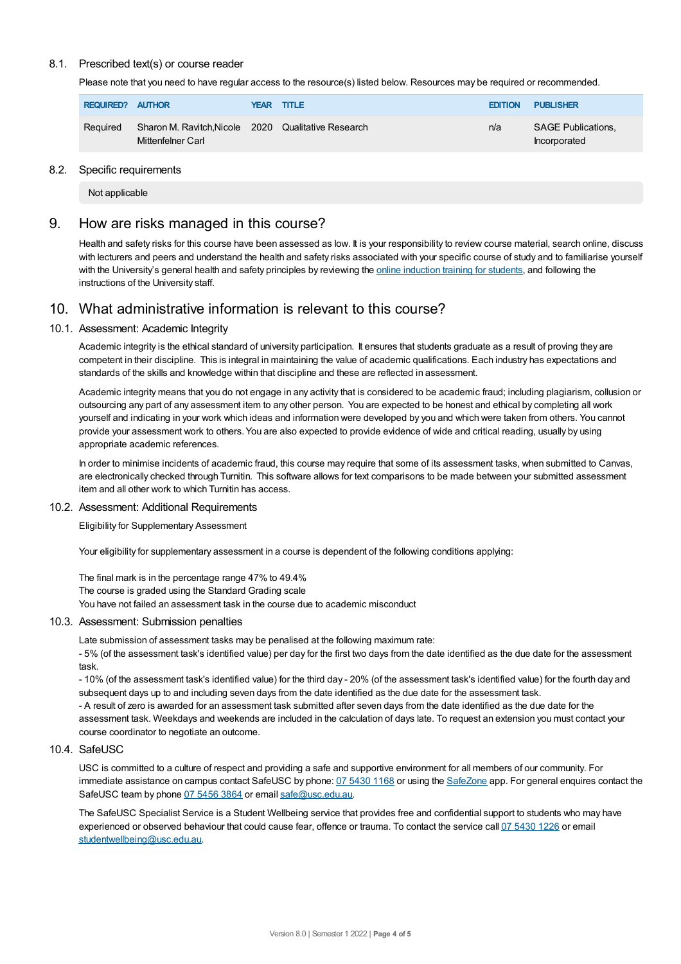## 8.1. Prescribed text(s) or course reader

Please note that you need to have regular access to the resource(s) listed below. Resources may be required or recommended.

| REQUIRED? AUTHOR |                                                                          | YEAR TITLE | <b>EDITION</b> | <b>PUBLISHER</b>                          |
|------------------|--------------------------------------------------------------------------|------------|----------------|-------------------------------------------|
| Required         | Sharon M. Ravitch, Nicole 2020 Qualitative Research<br>Mittenfelner Carl |            | n/a            | <b>SAGE Publications,</b><br>Incorporated |

#### 8.2. Specific requirements

Not applicable

## 9. How are risks managed in this course?

Health and safety risks for this course have been assessed as low. It is your responsibility to review course material, search online, discuss with lecturers and peers and understand the health and safety risks associated with your specific course of study and to familiarise yourself with the University's general health and safety principles by reviewing the online [induction](https://online.usc.edu.au/webapps/blackboard/content/listContentEditable.jsp?content_id=_632657_1&course_id=_14432_1) training for students, and following the instructions of the University staff.

# 10. What administrative information is relevant to this course?

## 10.1. Assessment: Academic Integrity

Academic integrity is the ethical standard of university participation. It ensures that students graduate as a result of proving they are competent in their discipline. This is integral in maintaining the value of academic qualifications. Each industry has expectations and standards of the skills and knowledge within that discipline and these are reflected in assessment.

Academic integrity means that you do not engage in any activity that is considered to be academic fraud; including plagiarism, collusion or outsourcing any part of any assessment item to any other person. You are expected to be honest and ethical by completing all work yourself and indicating in your work which ideas and information were developed by you and which were taken from others. You cannot provide your assessment work to others. You are also expected to provide evidence of wide and critical reading, usually by using appropriate academic references.

In order to minimise incidents of academic fraud, this course may require that some of its assessment tasks, when submitted to Canvas, are electronically checked through Turnitin. This software allows for text comparisons to be made between your submitted assessment item and all other work to which Turnitin has access.

## 10.2. Assessment: Additional Requirements

Eligibility for Supplementary Assessment

Your eligibility for supplementary assessment in a course is dependent of the following conditions applying:

The final mark is in the percentage range 47% to 49.4% The course is graded using the Standard Grading scale You have not failed an assessment task in the course due to academic misconduct

## 10.3. Assessment: Submission penalties

Late submission of assessment tasks may be penalised at the following maximum rate:

- 5% (of the assessment task's identified value) per day for the first two days from the date identified as the due date for the assessment task.

- 10% (of the assessment task's identified value) for the third day - 20% (of the assessment task's identified value) for the fourth day and subsequent days up to and including seven days from the date identified as the due date for the assessment task.

- A result of zero is awarded for an assessment task submitted after seven days from the date identified as the due date for the assessment task. Weekdays and weekends are included in the calculation of days late. To request an extension you must contact your course coordinator to negotiate an outcome.

## 10.4 SafeLISC

USC is committed to a culture of respect and providing a safe and supportive environment for all members of our community. For immediate assistance on campus contact SafeUSC by phone: 07 [5430](tel:07%205430%201168) 1168 or using the [SafeZone](https://www.safezoneapp.com) app. For general enquires contact the SafeUSC team by phone 07 [5456](tel:07%205456%203864) 3864 or email [safe@usc.edu.au](mailto:safe@usc.edu.au).

The SafeUSC Specialist Service is a Student Wellbeing service that provides free and confidential support to students who may have experienced or observed behaviour that could cause fear, offence or trauma. To contact the service call 07 [5430](tel:07%205430%201226) 1226 or email [studentwellbeing@usc.edu.au](mailto:studentwellbeing@usc.edu.au).